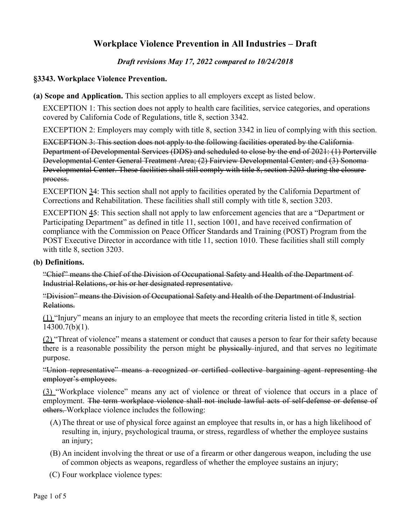# **Workplace Violence Prevention in All Industries – Draft**

### *Draft revisions May 17, 2022 compared to 10/24/2018*

#### **§3343. Workplace Violence Prevention.**

**(a) Scope and Application.** This section applies to all employers except as listed below.

EXCEPTION 1: This section does not apply to health care facilities, service categories, and operations covered by California Code of Regulations, title 8, section 3342.

EXCEPTION 2: Employers may comply with title 8, section 3342 in lieu of complying with this section.

EXCEPTION 3: This section does not apply to the following facilities operated by the California Department of Developmental Services (DDS) and scheduled to close by the end of 2021: (1) Porterville Developmental Center General Treatment Area; (2) Fairview Developmental Center; and (3) Sonoma Developmental Center. These facilities shall still comply with title 8, section 3203 during the closure process.

EXCEPTION 34: This section shall not apply to facilities operated by the California Department of Corrections and Rehabilitation. These facilities shall still comply with title 8, section 3203.

EXCEPTION 45: This section shall not apply to law enforcement agencies that are a "Department or Participating Department" as defined in title 11, section 1001, and have received confirmation of compliance with the Commission on Peace Officer Standards and Training (POST) Program from the POST Executive Director in accordance with title 11, section 1010. These facilities shall still comply with title 8, section 3203.

#### **(b) Definitions.**

"Chief" means the Chief of the Division of Occupational Safety and Health of the Department of Industrial Relations, or his or her designated representative.

"Division" means the Division of Occupational Safety and Health of the Department of Industrial Relations.

(1) "Injury" means an injury to an employee that meets the recording criteria listed in title 8, section 14300.7(b)(1).

(2) "Threat of violence" means a statement or conduct that causes a person to fear for their safety because there is a reasonable possibility the person might be physically injured, and that serves no legitimate purpose.

"Union representative" means a recognized or certified collective bargaining agent representing the employer's employees.

(3) "Workplace violence" means any act of violence or threat of violence that occurs in a place of employment. The term workplace violence shall not include lawful acts of self-defense or defense of others. Workplace violence includes the following:

- (A)The threat or use of physical force against an employee that results in, or has a high likelihood of resulting in, injury, psychological trauma, or stress, regardless of whether the employee sustains an injury;
- (B) An incident involving the threat or use of a firearm or other dangerous weapon, including the use of common objects as weapons, regardless of whether the employee sustains an injury;
- (C) Four workplace violence types: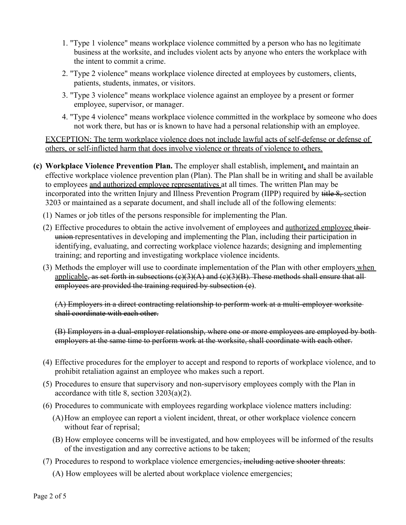- 1. "Type 1 violence" means workplace violence committed by a person who has no legitimate business at the worksite, and includes violent acts by anyone who enters the workplace with the intent to commit a crime.
- 2. "Type 2 violence" means workplace violence directed at employees by customers, clients, patients, students, inmates, or visitors.
- 3. "Type 3 violence" means workplace violence against an employee by a present or former employee, supervisor, or manager.
- 4. "Type 4 violence" means workplace violence committed in the workplace by someone who does not work there, but has or is known to have had a personal relationship with an employee.

EXCEPTION: The term workplace violence does not include lawful acts of self-defense or defense of others, or self-inflicted harm that does involve violence or threats of violence to others.

- **(c) Workplace Violence Prevention Plan.** The employer shall establish, implement, and maintain an effective workplace violence prevention plan (Plan). The Plan shall be in writing and shall be available to employees and authorized employee representatives at all times. The written Plan may be incorporated into the written Injury and Illness Prevention Program (IIPP) required by title 8, section 3203 or maintained as a separate document, and shall include all of the following elements:
	- (1) Names or job titles of the persons responsible for implementing the Plan.
	- (2) Effective procedures to obtain the active involvement of employees and authorized employee their union representatives in developing and implementing the Plan, including their participation in identifying, evaluating, and correcting workplace violence hazards; designing and implementing training; and reporting and investigating workplace violence incidents.
	- (3) Methods the employer will use to coordinate implementation of the Plan with other employers when applicable, as set forth in subsections  $(c)(3)(A)$  and  $(c)(3)(B)$ . These methods shall ensure that allemployees are provided the training required by subsection (e).

(A) Employers in a direct contracting relationship to perform work at a multi-employer worksite shall coordinate with each other.

(B) Employers in a dual-employer relationship, where one or more employees are employed by both employers at the same time to perform work at the worksite, shall coordinate with each other.

- (4) Effective procedures for the employer to accept and respond to reports of workplace violence, and to prohibit retaliation against an employee who makes such a report.
- (5) Procedures to ensure that supervisory and non-supervisory employees comply with the Plan in accordance with title 8, section 3203(a)(2).
- (6) Procedures to communicate with employees regarding workplace violence matters including:
	- (A)How an employee can report a violent incident, threat, or other workplace violence concern without fear of reprisal;
	- (B) How employee concerns will be investigated, and how employees will be informed of the results of the investigation and any corrective actions to be taken;
- (7) Procedures to respond to workplace violence emergencies, including active shooter threats:
	- (A) How employees will be alerted about workplace violence emergencies;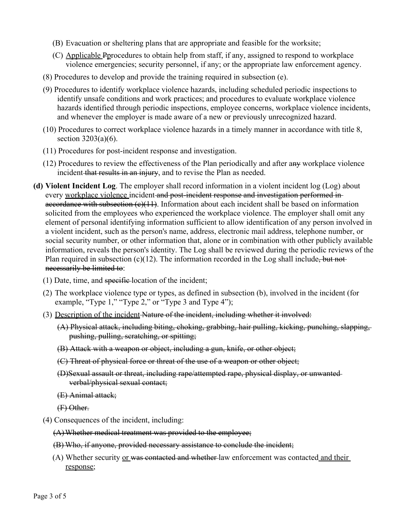- (B) Evacuation or sheltering plans that are appropriate and feasible for the worksite;
- (C) Applicable Pprocedures to obtain help from staff, if any, assigned to respond to workplace violence emergencies; security personnel, if any; or the appropriate law enforcement agency.
- (8) Procedures to develop and provide the training required in subsection (e).
- (9) Procedures to identify workplace violence hazards, including scheduled periodic inspections to identify unsafe conditions and work practices; and procedures to evaluate workplace violence hazards identified through periodic inspections, employee concerns, workplace violence incidents, and whenever the employer is made aware of a new or previously unrecognized hazard.
- (10) Procedures to correct workplace violence hazards in a timely manner in accordance with title 8, section 3203(a)(6).
- (11) Procedures for post-incident response and investigation.
- $(12)$  Procedures to review the effectiveness of the Plan periodically and after any workplace violence incident that results in an injury, and to revise the Plan as needed.
- **(d) Violent Incident Log**. The employer shall record information in a violent incident log (Log) about every workplace violence incident and post-incident response and investigation performed in accordance with subsection  $(c)(11)$ . Information about each incident shall be based on information solicited from the employees who experienced the workplace violence. The employer shall omit any element of personal identifying information sufficient to allow identification of any person involved in a violent incident, such as the person's name, address, electronic mail address, telephone number, or social security number, or other information that, alone or in combination with other publicly available information, reveals the person's identity. The Log shall be reviewed during the periodic reviews of the Plan required in subsection  $(c)(12)$ . The information recorded in the Log shall include, but not necessarily be limited to:
	- $(1)$  Date, time, and specific location of the incident;
	- (2) The workplace violence type or types, as defined in subsection (b), involved in the incident (for example, "Type 1," "Type 2," or "Type 3 and Type 4");
	- (3) Description of the incident Nature of the incident, including whether it involved:
		- (A) Physical attack, including biting, choking, grabbing, hair pulling, kicking, punching, slapping, pushing, pulling, scratching, or spitting;
		- (B) Attack with a weapon or object, including a gun, knife, or other object;
		- (C) Threat of physical force or threat of the use of a weapon or other object;
		- (D)Sexual assault or threat, including rape/attempted rape, physical display, or unwanted verbal/physical sexual contact;
		- (E) Animal attack;

(F) Other.

- (4) Consequences of the incident, including:
	- (A)Whether medical treatment was provided to the employee;
	- (B) Who, if anyone, provided necessary assistance to conclude the incident;
	- (A) Whether security or was contacted and whether-law enforcement was contacted and their response;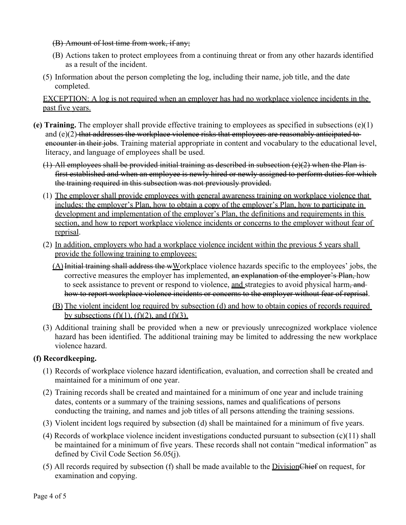(B) Amount of lost time from work, if any;

- (B) Actions taken to protect employees from a continuing threat or from any other hazards identified as a result of the incident.
- (5) Information about the person completing the log, including their name, job title, and the date completed.

EXCEPTION: A log is not required when an employer has had no workplace violence incidents in the past five years.

- **(e) Training.** The employer shall provide effective training to employees as specified in subsections (e)(1) and  $(e)(2)$  that addresses the workplace violence risks that employees are reasonably anticipated toencounter in their jobs. Training material appropriate in content and vocabulary to the educational level, literacy, and language of employees shall be used.
	- (1) All employees shall be provided initial training as described in subsection (e)(2) when the Plan isfirst established and when an employee is newly hired or newly assigned to perform duties for which the training required in this subsection was not previously provided.
	- (1) The employer shall provide employees with general awareness training on workplace violence that includes: the employer's Plan, how to obtain a copy of the employer's Plan, how to participate in development and implementation of the employer's Plan, the definitions and requirements in this section, and how to report workplace violence incidents or concerns to the employer without fear of reprisal.
	- (2) In addition, employers who had a workplace violence incident within the previous 5 years shall provide the following training to employees:
		- $(A)$  Initial training shall address the wWorkplace violence hazards specific to the employees' jobs, the corrective measures the employer has implemented, an explanation of the employer's Plan, how to seek assistance to prevent or respond to violence, and strategies to avoid physical harm, and how to report workplace violence incidents or concerns to the employer without fear of reprisal.
		- (B) The violent incident log required by subsection (d) and how to obtain copies of records required by subsections  $(f)(1)$ ,  $(f)(2)$ , and  $(f)(3)$ .
	- (3) Additional training shall be provided when a new or previously unrecognized workplace violence hazard has been identified. The additional training may be limited to addressing the new workplace violence hazard.

## **(f) Recordkeeping.**

- (1) Records of workplace violence hazard identification, evaluation, and correction shall be created and maintained for a minimum of one year.
- (2) Training records shall be created and maintained for a minimum of one year and include training dates, contents or a summary of the training sessions, names and qualifications of persons conducting the training, and names and job titles of all persons attending the training sessions.
- (3) Violent incident logs required by subsection (d) shall be maintained for a minimum of five years.
- (4) Records of workplace violence incident investigations conducted pursuant to subsection (c)(11) shall be maintained for a minimum of five years. These records shall not contain "medical information" as defined by Civil Code Section 56.05(j).
- (5) All records required by subsection (f) shall be made available to the  $Division$ Chief on request, for examination and copying.